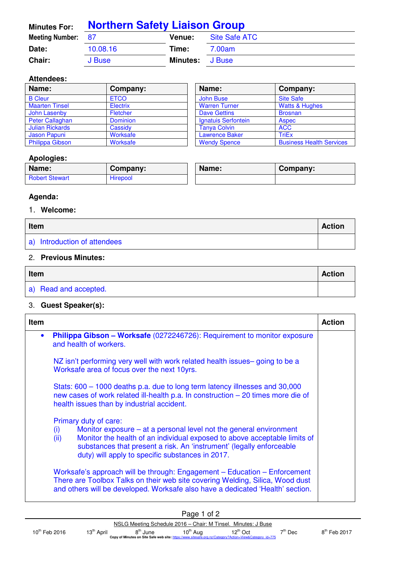| <b>Minutes For:</b>       | <b>Northern Safety Liaison Group</b> |                        |               |  |
|---------------------------|--------------------------------------|------------------------|---------------|--|
| <b>Meeting Number: 87</b> |                                      | <b>Venue:</b>          | Site Safe ATC |  |
| Date:                     | 10.08.16                             | Time:                  | 7.00am        |  |
| Chair:                    | J Buse                               | <b>Minutes:</b> J Buse |               |  |

#### **Attendees:**

| Name:                  | Company:        | Name:                 | Company:                        |
|------------------------|-----------------|-----------------------|---------------------------------|
| <b>B</b> Cleur         | <b>ETCO</b>     | John Buse             | <b>Site Safe</b>                |
| <b>Maarten Tinsel</b>  | Electrix        | <b>Warren Turner</b>  | <b>Watts &amp; Hughes</b>       |
| John Lasenby           | <b>Fletcher</b> | <b>Dave Gettins</b>   | <b>Brosnan</b>                  |
| Peter Callaghan        | <b>Dominion</b> | Ignatuis Serfontein   | <b>Aspec</b>                    |
| <b>Julian Rickards</b> | Cassidv         | <b>Tanya Colvin</b>   | <b>ACC</b>                      |
| Jason Papuni           | Worksafe        | <b>Lawrence Baker</b> | <b>TriEx</b>                    |
| <b>Philippa Gibson</b> | Worksafe        | <b>Wendy Spence</b>   | <b>Business Health Services</b> |

| Name:                      | Company:                        |
|----------------------------|---------------------------------|
| <b>John Buse</b>           | <b>Site Safe</b>                |
| <b>Warren Turner</b>       | <b>Watts &amp; Hughes</b>       |
| <b>Dave Gettins</b>        | <b>Brosnan</b>                  |
| <b>Ignatuis Serfontein</b> | <b>Aspec</b>                    |
| <b>Tanya Colvin</b>        | <b>ACC</b>                      |
| <b>Lawrence Baker</b>      | TriEx                           |
| <b>Wendy Spence</b>        | <b>Business Health Services</b> |

#### **Apologies:**

| Name:                 | Company:        | Name: | Company: |
|-----------------------|-----------------|-------|----------|
| <b>Robert Stewart</b> | <b>Hirepool</b> |       |          |

## **Agenda:**

#### 1. **Welcome:**

| Item                         |  |
|------------------------------|--|
| a) Introduction of attendees |  |

## 2. **Previous Minutes:**

| Item                  |  |
|-----------------------|--|
| a) Read and accepted. |  |

## 3. **Guest Speaker(s):**

| <b>Item</b> |                                                                                                                                                                                                                                                                                                                     | <b>Action</b> |
|-------------|---------------------------------------------------------------------------------------------------------------------------------------------------------------------------------------------------------------------------------------------------------------------------------------------------------------------|---------------|
| $\bullet$   | Philippa Gibson - Worksafe (0272246726): Requirement to monitor exposure<br>and health of workers.                                                                                                                                                                                                                  |               |
|             | NZ isn't performing very well with work related health issues– going to be a<br>Worksafe area of focus over the next 10yrs.                                                                                                                                                                                         |               |
|             | Stats: 600 – 1000 deaths p.a. due to long term latency illnesses and 30,000<br>new cases of work related ill-health p.a. In construction - 20 times more die of<br>health issues than by industrial accident.                                                                                                       |               |
|             | Primary duty of care:<br>Monitor exposure – at a personal level not the general environment<br>(i)<br>Monitor the health of an individual exposed to above acceptable limits of<br>(ii)<br>substances that present a risk. An 'instrument' (legally enforceable<br>duty) will apply to specific substances in 2017. |               |
|             | Worksafe's approach will be through: Engagement - Education - Enforcement<br>There are Toolbox Talks on their web site covering Welding, Silica, Wood dust<br>and others will be developed. Worksafe also have a dedicated 'Health' section.                                                                        |               |